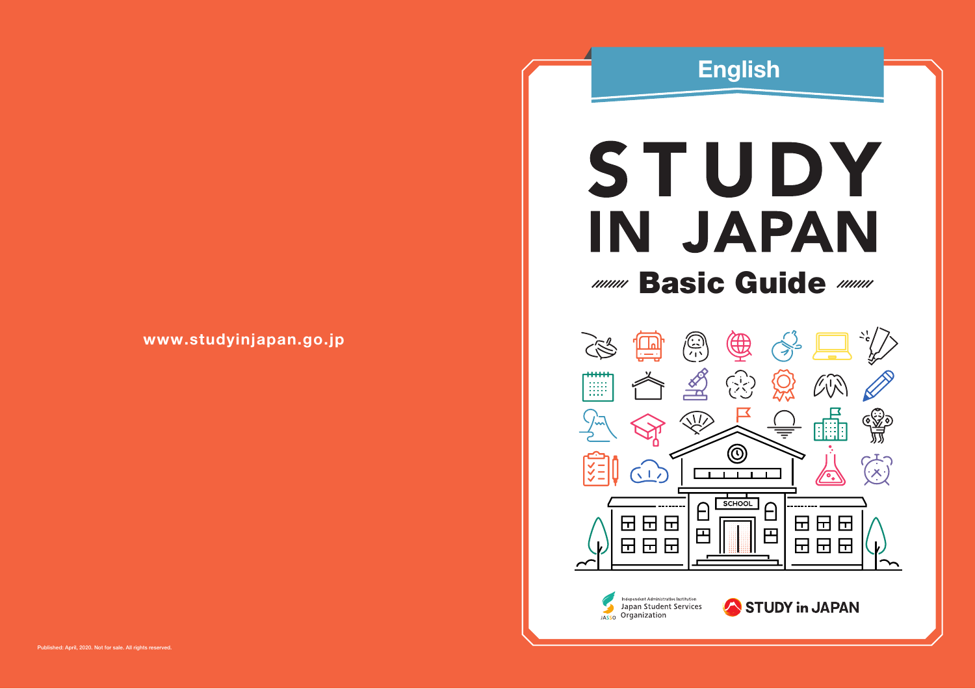## English

# STUDY IN JAPAN

# **MMM Basic Guide MMM**



www.studyinjapan.go.jp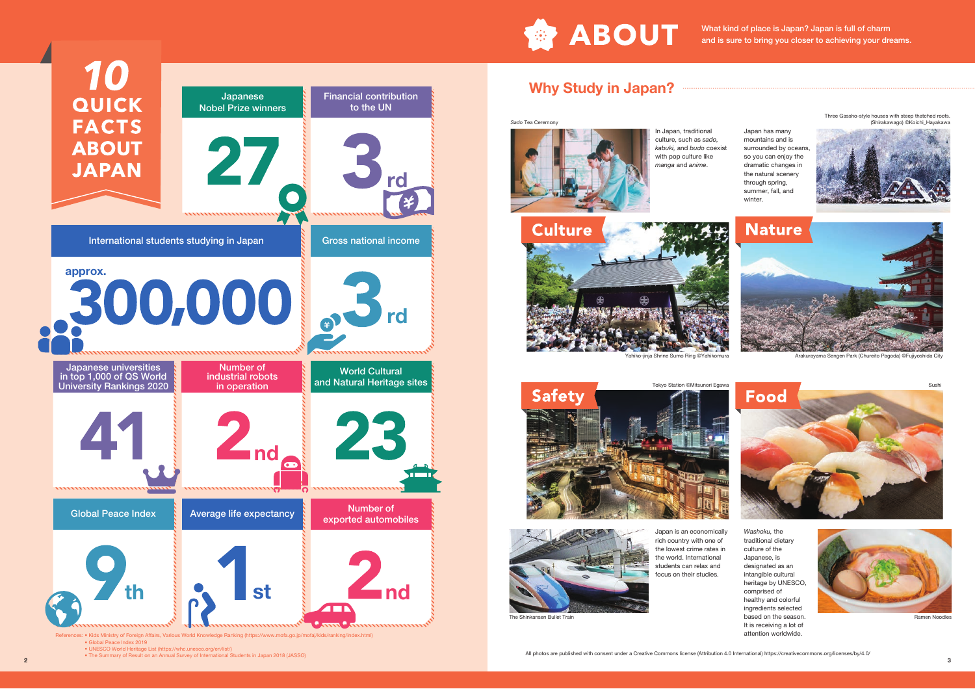

What kind of place is Japan? Japan is full of charm and is sure to bring you closer to achieving your dreams.

> Japan has many mountains and is

so you can enjoy the dramatic changes in the natural scenery through spring, summer, fall, and winter.

## Why Study in Japan?

*Sado* Tea Ceremony



In Japan, traditional culture, such as *sado, kabuki,* and *budo* coexist with pop culture like *manga* and *anime*. surrounded by oceans, Three Gassho-style houses with steep thatched roofs. (Shirakawago) ©Koichi\_Hayakawa





ahiko-jinja Shrine Sumo Ring ©Yahikomura



Sushi





Japan is an economically rich country with one of the lowest crime rates in the world. International students can relax and focus on their studies.

*Washoku,* the traditional dietary culture of the Japanese, is designated as an intangible cultural heritage by UNESCO, comprised of healthy and colorful ingredients selected based on the season. It is receiving a lot of attention worldwide.





Ramen Noodles

.<br>Kids Ministry of Foreign Affairs, Various World Knowledge Ranking (l • Global Peace Index 2019

Japanese Nobel Prize winners

27

,,,,,,,,,,,,,,,,,,,,,,,,,

Financial contribution to the UN

Gross national income

\*\*\*\*\*\*\*\*\*

World Cultural and Natural Heritage sites

25

exported automobiles

,,,,,,,,,,,,,,,,,,,,

rd

• UNESCO World Heritage List (https://whc.unesco.org/en/list/)<br>• The Summary of Result on an Annual Survey of International Students in Japan 2018 (JASSO) **2 All photos are published with consent under a Creative Commons** 

International students studying in Japan

**300,000 3d** 

nnunnunnunnunnunnunnunnunnun<sup>nun</sup>

 $2nd<sub>a</sub>$ 

Global Peace Index **Average life expectancy** Number of

Number of industrial robots in operation

th  $\sim$  st is and

approx.

QUICK

**FACTS** 

**ABOUT** 

**JAPAN** 

Japanese universities in top 1,000 of QS World University Rankings 2020

,,,,,,,,,,,,,,,,,,,,,,,,

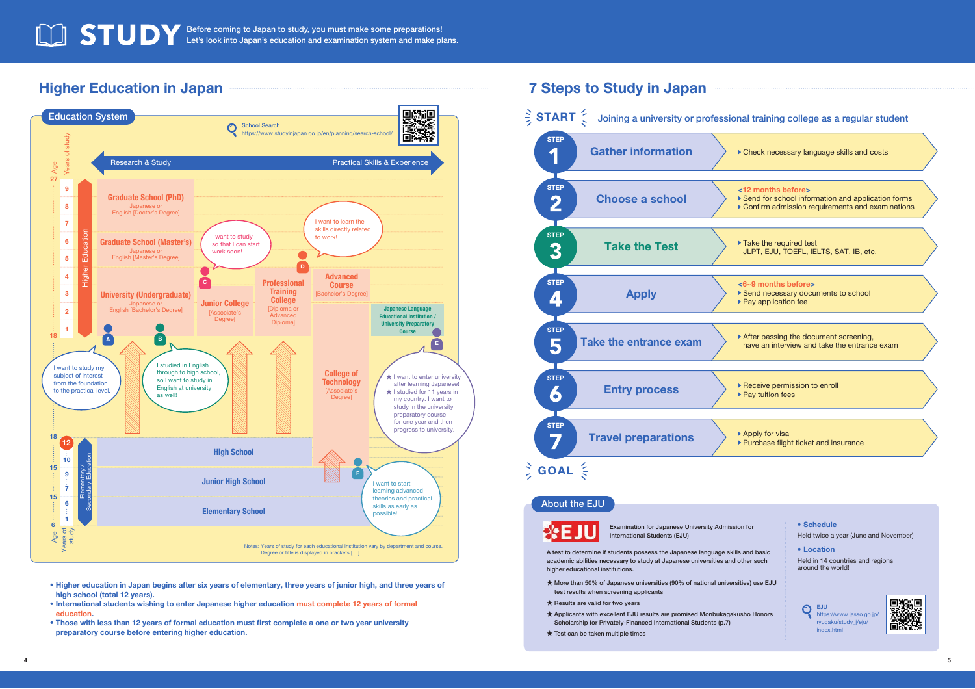#### Before coming to Japan to study, you must make some preparations! Let's look into Japan's education and examination system and make plans.

#### Higher Education in Japan



- Higher education in Japan begins after six years of elementary, three years of junior high, and three years of high school (total 12 years).
- International students wishing to enter Japanese higher education must complete 12 years of formal education.
- Those with less than 12 years of formal education must first complete a one or two year university preparatory course before entering higher education.

#### 7 Steps to Study in Japan



#### About the EJU



Examination for Japanese University Admission for International Students (EJU) **Held twice a year (June and November)** Held twice a year (June and November)

A test to determine if students possess the Japanese language skills and basic **• Location** academic abilities necessary to study at Japanese universities and other such higher educational institutions.

- ★ More than 50% of Japanese universities (90% of national universities) use EJU test results when screening applicants
- ★ Results are valid for two years
- ★ Applicants with excellent EJU results are promised Monbukagakusho Honors Scholarship for Privately-Financed International Students (p.7)
- $\star$  Test can be taken multiple times

• Schedule

Held in 14 countries and regions around the world!

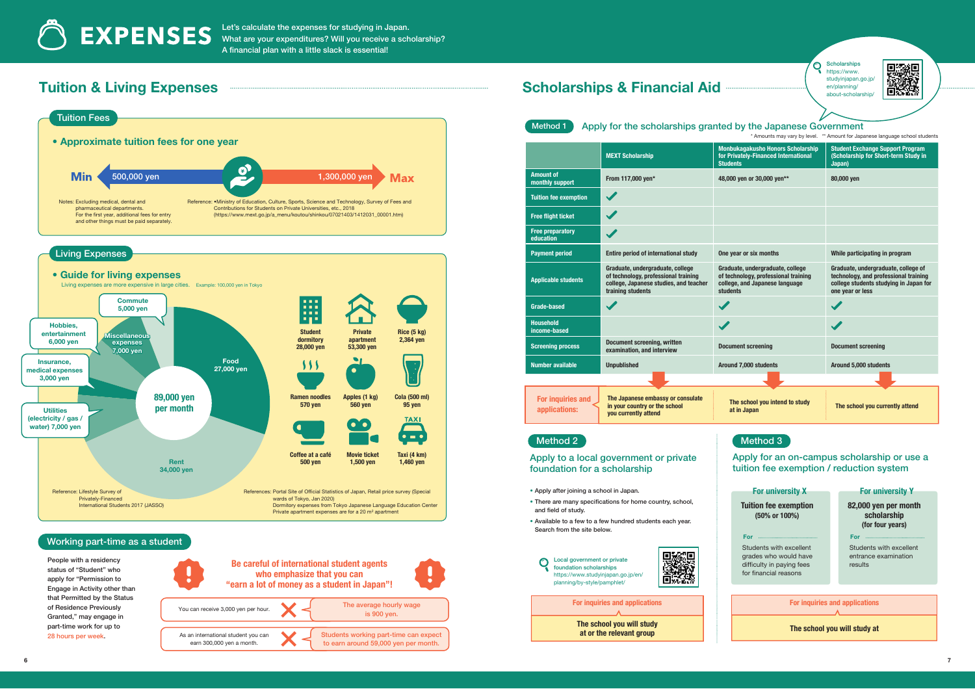Let's calculate the expenses for studying in Japan. What are your expenditures? Will you receive a scholarship? A financial plan with a little slack is essential!

## Tuition & Living Expenses



### Scholarships & Financial Aid -

**Scholarships には、この時の時代の** https://www. studyinjapan.go.jp/ en/planning/ about-scholarship/

 $\bullet$ 



| Method 1<br>Apply for the scholarships granted by the Japanese Government    |                                                                                                                                         |                                                                                                                        |                                                                                                                                            |
|------------------------------------------------------------------------------|-----------------------------------------------------------------------------------------------------------------------------------------|------------------------------------------------------------------------------------------------------------------------|--------------------------------------------------------------------------------------------------------------------------------------------|
| * Amounts may vary by level. ** Amount for Japanese language school students |                                                                                                                                         |                                                                                                                        |                                                                                                                                            |
|                                                                              | <b>MEXT Scholarship</b>                                                                                                                 | <b>Monbukagakusho Honors Scholarship</b><br>for Privately-Financed International<br><b>Students</b>                    | <b>Student Exchange Support Program</b><br>(Scholarship for Short-term Study in<br>Japan)                                                  |
| <b>Amount of</b><br>monthly support                                          | From 117,000 yen*                                                                                                                       | 48,000 yen or 30,000 yen**                                                                                             | 80,000 yen                                                                                                                                 |
| <b>Tuition fee exemption</b>                                                 |                                                                                                                                         |                                                                                                                        |                                                                                                                                            |
| <b>Free flight ticket</b>                                                    |                                                                                                                                         |                                                                                                                        |                                                                                                                                            |
| <b>Free preparatory</b><br>education                                         | $\blacktriangledown$                                                                                                                    |                                                                                                                        |                                                                                                                                            |
| <b>Payment period</b>                                                        | <b>Entire period of international study</b>                                                                                             | One year or six months                                                                                                 | While participating in program                                                                                                             |
| <b>Applicable students</b>                                                   | Graduate, undergraduate, college<br>of technology, professional training<br>college, Japanese studies, and teacher<br>training students | Graduate, undergraduate, college<br>of technology, professional training<br>college, and Japanese language<br>students | Graduate, undergraduate, college of<br>technology, and professional training<br>college students studying in Japan for<br>one year or less |
| <b>Grade-based</b>                                                           |                                                                                                                                         |                                                                                                                        |                                                                                                                                            |
| <b>Household</b><br>income-based                                             |                                                                                                                                         |                                                                                                                        |                                                                                                                                            |
| <b>Screening process</b>                                                     | <b>Document screening, written</b><br>examination, and interview                                                                        | <b>Document screening</b>                                                                                              | <b>Document screening</b>                                                                                                                  |
| <b>Number available</b>                                                      | <b>Unpublished</b>                                                                                                                      | Around 7,000 students                                                                                                  | Around 5,000 students                                                                                                                      |
|                                                                              |                                                                                                                                         |                                                                                                                        |                                                                                                                                            |
| For inquiries and<br>applications:                                           | The Japanese embassy or consulate<br>in your country or the school<br>you currently attend                                              | The school you intend to study<br>at in Japan                                                                          | The school you currently attend                                                                                                            |
| <b>Method 2</b>                                                              |                                                                                                                                         | <b>Method 3</b>                                                                                                        |                                                                                                                                            |

Apply to a local government or private foundation for a scholarship

• Apply after joining a school in Japan.

 $\bigcirc$ 

- There are many specifications for home country, school, and field of study.
- Available to a few to a few hundred students each year. Search from the site below.



#### Local government or private foundation scholarships https://www.studyinjapan.go.jp/en/ planning/by-style/pamphlet/

For inquiries and applications

The school you will study at or the relevant group

For university X

(50% or 100%)

For

Apply for an on-campus scholarship or use a tuition fee exemption / reduction system

#### For university Y

Tuition fee exemption 82,000 yen per month scholarship (for four years)

For

Students with excellent grades who would have difficulty in paying fees for financial reasons

Students with excellent entrance examination results

For inquiries and applications

The school you will study at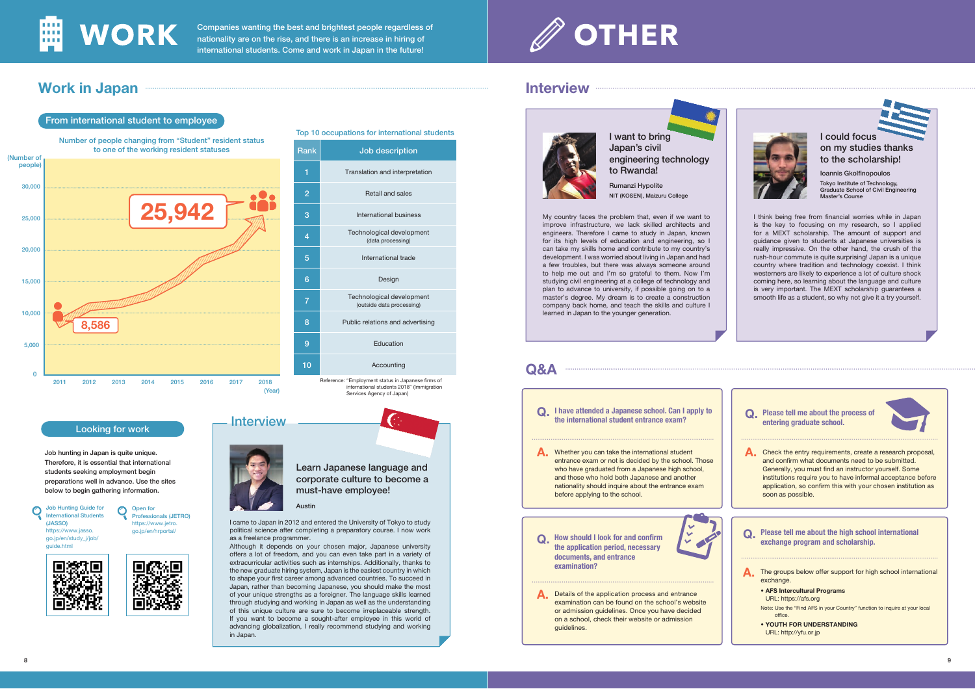

From international student to employee

Companies wanting the best and brightest people regardless of nationality are on the rise, and there is an increase in hiring of international students. Come and work in Japan in the future!

# **OTHER**

## Work in Japan



#### Looking for work

O Open for

Professionals (JETRO) https://www.jetro. go.jp/en/hrportal/

Job hunting in Japan is quite unique. Therefore, it is essential that international students seeking employment begin preparations well in advance. Use the sites below to begin gathering information.

Job Hunting Guide for  $\bigcirc$ International Students (JASSO) https://www.jasso. go.jp/en/study\_j/job/ guide.html



### Reference: "Employment status in Japanese firms of international students 2018" (Immigration Services Agency of Japan) Rank Job description 1 Translation and interpretation 2 Retail and sales 3 International business Technological development (data processing) 5 International trade 6 Design 7 Technological development (outside data processing) 8 **Public relations and advertising 9** Education 10 Accounting



corporate culture to become a must-have employee!

Austin

Interview

I came to Japan in 2012 and entered the University of Tokyo to study political science after completing a preparatory course. I now work as a freelance programmer.

Although it depends on your chosen major, Japanese university offers a lot of freedom, and you can even take part in a variety of extracurricular activities such as internships. Additionally, thanks to the new graduate hiring system, Japan is the easiest country in which to shape your first career among advanced countries. To succeed in Japan, rather than becoming Japanese, you should make the most of your unique strengths as a foreigner. The language skills learned through studying and working in Japan as well as the understanding of this unique culture are sure to become irreplaceable strength. If you want to become a sought-after employee in this world of advancing globalization, I really recommend studying and working in Japan.

#### Interview



I want to bring Japan's civil engineering technology to Rwanda!

Rumanzi Hypolite NIT (KOSEN), Maizuru College

My country faces the problem that, even if we want to improve infrastructure, we lack skilled architects and engineers. Therefore I came to study in Japan, known for its high levels of education and engineering, so I can take my skills home and contribute to my country's development. I was worried about living in Japan and had a few troubles, but there was always someone around to help me out and I'm so grateful to them. Now I'm studying civil engineering at a college of technology and plan to advance to university, if possible going on to a master's degree. My dream is to create a construction company back home, and teach the skills and culture I learned in Japan to the younger generation.



Q. I have attended a Japanese school. Can I apply to the international student entrance exam?

A. Whether you can take the international student entrance exam or not is decided by the school. Those who have graduated from a Japanese high school, and those who hold both Japanese and another nationality should inquire about the entrance exam before applying to the school.

Q. How should I look for and confirm the application period, necessary documents, and entrance examination?

Details of the application process and entrance examination can be found on the school's website or admission guidelines. Once you have decided on a school, check their website or admission guidelines. A.



I could focus on my studies thanks to the scholarship!

Ioannis Gkolfinopoulos Tokyo Institute of Technology, Graduate School of Civil Engineering Master's Course

I think being free from financial worries while in Japan is the key to focusing on my research, so I applied for a MEXT scholarship. The amount of support and guidance given to students at Japanese universities is really impressive. On the other hand, the crush of the rush-hour commute is quite surprising! Japan is a unique country where tradition and technology coexist. I think westerners are likely to experience a lot of culture shock coming here, so learning about the language and culture is very important. The MEXT scholarship guarantees a smooth life as a student, so why not give it a try yourself.

Q. Please tell me about the process of entering graduate school.

A. Check the entry requirements, create a research proposal, and confirm what documents need to be submitted. Generally, you must find an instructor yourself. Some institutions require you to have informal acceptance before application, so confirm this with your chosen institution as soon as possible.

Q. Please tell me about the high school international exchange program and scholarship.

A. The groups below offer support for high school international exchange.

• AFS Intercultural Programs URL: https://afs.org Note: Use the "Find AFS in your Country" function to inquire at your local office.

• YOUTH FOR UNDERSTANDING URL: http://yfu.or.jp